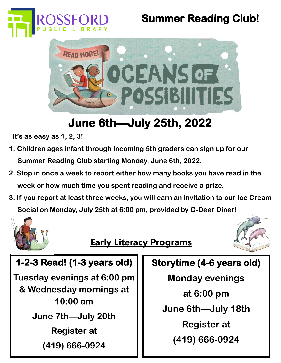

# **Summer Reading Club!**



# **June 6th—July 25th, 2022**

 **It's as easy as 1, 2, 3!**

- **1. Children ages infant through incoming 5th graders can sign up for our Summer Reading Club starting Monday, June 6th, 2022.**
- **2. Stop in once a week to report either how many books you have read in the week or how much time you spent reading and receive a prize.**
- **3. If you report at least three weeks, you will earn an invitation to our Ice Cream Social on Monday, July 25th at 6:00 pm, provided by O-Deer Diner!**



### **Early Literacy Programs**



### **1-2-3 Read! (1-3 years old)**

**Tuesday evenings at 6:00 pm & Wednesday mornings at 10:00 am June 7th—July 20th Register at (419) 666-0924**

### **Storytime (4-6 years old)**

- **Monday evenings at 6:00 pm June 6th—July 18th**
	- **Register at (419) 666-0924**